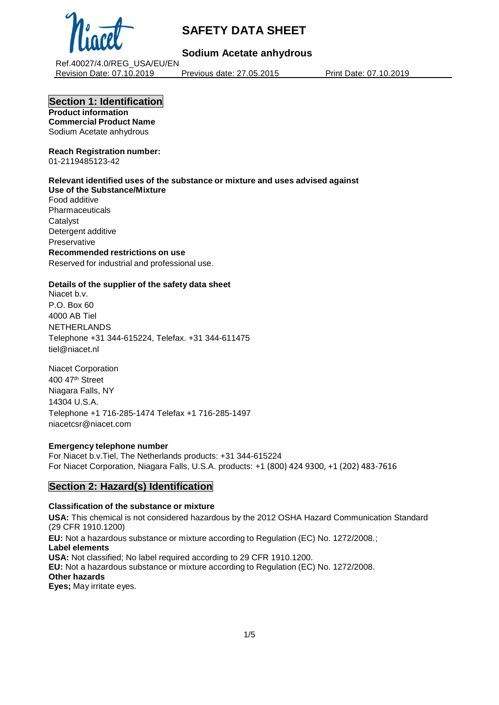

# **Sodium Acetate anhydrous**

Ref.40027/4.0/REG\_USA/EU/EN Revision Date: 07.10.2019 Previous date: 27.05.2015 Print Date: 07.10.2019

## **Section 1: Identification**

**Product information Commercial Product Name** Sodium Acetate anhydrous

#### **Reach Registration number:** 01-2119485123-42

**Relevant identified uses of the substance or mixture and uses advised against Use of the Substance/Mixture** Food additive Pharmaceuticals **Catalvst** Detergent additive Preservative **Recommended restrictions on use** Reserved for industrial and professional use.

# **Details of the supplier of the safety data sheet**

Niacet b.v. P.O. Box 60 4000 AB Tiel NETHERLANDS Telephone +31 344-615224, Telefax. +31 344-611475 tiel@niacet.nl

Niacet Corporation 400 47th Street Niagara Falls, NY 14304 U.S.A. Telephone +1 716-285-1474 Telefax +1 716-285-1497 [niacetcsr@niacet.com](mailto:niacetcsr@niacet.com)

## **Emergency telephone number**

For Niacet b.v.Tiel, The Netherlands products: +31 344-615224 For Niacet Corporation, Niagara Falls, U.S.A. products: +1 (800) 424 9300, +1 (202) 483-7616

## **Section 2: Hazard(s) Identification**

## **Classification of the substance or mixture**

**USA:** This chemical is not considered hazardous by the 2012 OSHA Hazard Communication Standard (29 CFR 1910.1200)

**EU:** Not a hazardous substance or mixture according to Regulation (EC) No. 1272/2008.; **Label elements USA:** Not classified; No label required according to 29 CFR 1910.1200. **EU:** Not a hazardous substance or mixture according to Regulation (EC) No. 1272/2008. **Other hazards Eyes;** May irritate eyes.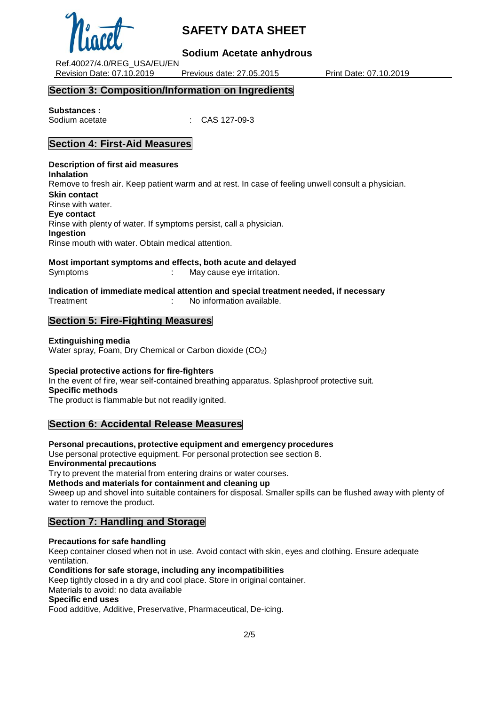

## **Sodium Acetate anhydrous**

Ref.40027/4.0/REG\_USA/EU/EN Revision Date: 07.10.2019 Previous date: 27.05.2015 Print Date: 07.10.2019

## **Section 3: Composition/Information on Ingredients**

## **Substances :**

Sodium acetate : CAS 127-09-3

# **Section 4: First-Aid Measures**

**Description of first aid measures Inhalation** Remove to fresh air. Keep patient warm and at rest. In case of feeling unwell consult a physician. **Skin contact** Rinse with water. **Eye contact** Rinse with plenty of water. If symptoms persist, call a physician. **Ingestion** Rinse mouth with water. Obtain medical attention.

**Most important symptoms and effects, both acute and delayed**

Symptoms : May cause eye irritation.

#### **Indication of immediate medical attention and special treatment needed, if necessary** Treatment : No information available.

# **Section 5: Fire-Fighting Measures**

## **Extinguishing media**

Water spray, Foam, Dry Chemical or Carbon dioxide (CO2)

## **Special protective actions for fire-fighters**

In the event of fire, wear self-contained breathing apparatus. Splashproof protective suit. **Specific methods**

The product is flammable but not readily ignited.

## **Section 6: Accidental Release Measures**

**Personal precautions, protective equipment and emergency procedures**

Use personal protective equipment. For personal protection see section 8. **Environmental precautions**

Try to prevent the material from entering drains or water courses.

**Methods and materials for containment and cleaning up**

Sweep up and shovel into suitable containers for disposal. Smaller spills can be flushed away with plenty of water to remove the product.

## **Section 7: Handling and Storage**

**Precautions for safe handling** Keep container closed when not in use. Avoid contact with skin, eyes and clothing. Ensure adequate ventilation.

**Conditions for safe storage, including any incompatibilities**

Keep tightly closed in a dry and cool place. Store in original container.

Materials to avoid: no data available

## **Specific end uses**

Food additive, Additive, Preservative, Pharmaceutical, De-icing.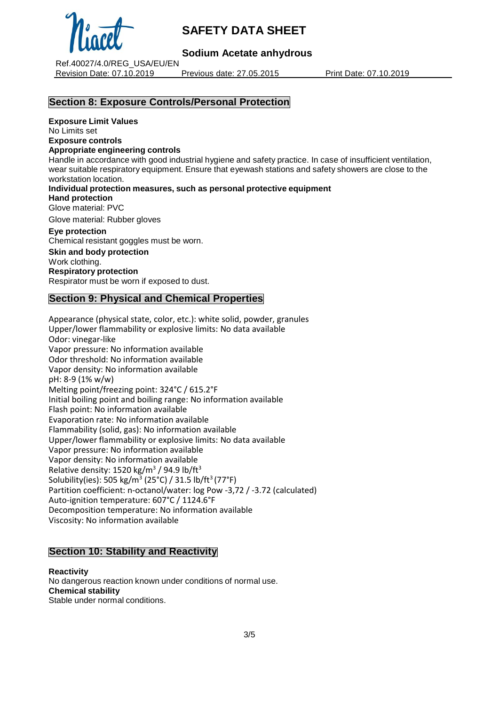

# **Sodium Acetate anhydrous**

Ref.40027/4.0/REG\_USA/EU/EN Revision Date: 07.10.2019 Previous date: 27.05.2015 Print Date: 07.10.2019

# **Section 8: Exposure Controls/Personal Protection**

**Exposure Limit Values** No Limits set

**Exposure controls**

#### **Appropriate engineering controls**

Handle in accordance with good industrial hygiene and safety practice. In case of insufficient ventilation, wear suitable respiratory equipment. Ensure that eyewash stations and safety showers are close to the workstation location.

**Individual protection measures, such as personal protective equipment**

**Hand protection**

Glove material: PVC

Glove material: Rubber gloves

#### **Eye protection**

Chemical resistant goggles must be worn. **Skin and body protection** Work clothing. **Respiratory protection** Respirator must be worn if exposed to dust.

# **Section 9: Physical and Chemical Properties**

Appearance (physical state, color, etc.): white solid, powder, granules Upper/lower flammability or explosive limits: No data available Odor: vinegar-like Vapor pressure: No information available Odor threshold: No information available Vapor density: No information available pH: 8-9 (1% w/w) Melting point/freezing point: 324°C / 615.2°F Initial boiling point and boiling range: No information available Flash point: No information available Evaporation rate: No information available Flammability (solid, gas): No information available Upper/lower flammability or explosive limits: No data available Vapor pressure: No information available Vapor density: No information available Relative density:  $1520$  kg/m<sup>3</sup> / 94.9 lb/ft<sup>3</sup> Solubility(ies): 505 kg/m<sup>3</sup> (25°C) / 31.5 lb/ft<sup>3</sup> (77°F) Partition coefficient: n-octanol/water: log Pow -3,72 / -3.72 (calculated) Auto-ignition temperature: 607°C / 1124.6°F Decomposition temperature: No information available Viscosity: No information available

## **Section 10: Stability and Reactivity**

**Reactivity** No dangerous reaction known under conditions of normal use. **Chemical stability** Stable under normal conditions.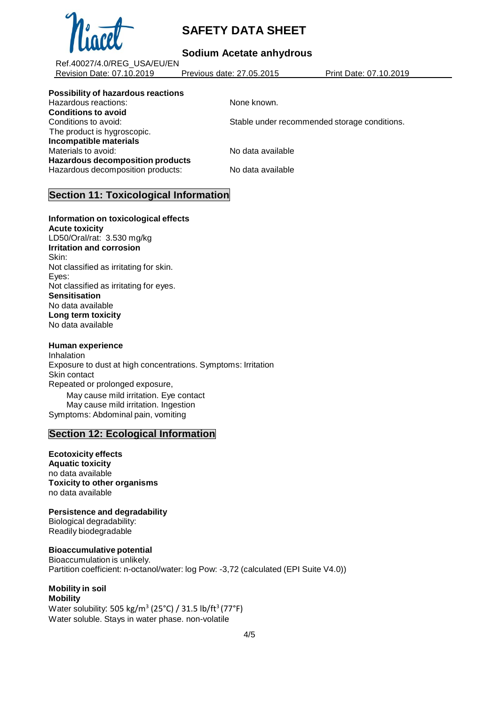

# **Sodium Acetate anhydrous**

Ref.40027/4.0/REG\_USA/EU/EN Revision Date: 07.10.2019 Previous date: 27.05.2015 Print Date: 07.10.2019

**Possibility of hazardous reactions**

Hazardous reactions: None known. **Conditions to avoid** The product is hygroscopic. **Incompatible materials** Materials to avoid: No data available **Hazardous decomposition products** Hazardous decomposition products: No data available

Conditions to avoid: Stable under recommended storage conditions.

# **Section 11: Toxicological Information**

**Information on toxicological effects Acute toxicity**

LD50/Oral/rat: 3.530 mg/kg **Irritation and corrosion** Skin: Not classified as irritating for skin. Eyes: Not classified as irritating for eyes. **Sensitisation** No data available **Long term toxicity** No data available

## **Human experience**

**Inhalation** Exposure to dust at high concentrations. Symptoms: Irritation Skin contact Repeated or prolonged exposure, May cause mild irritation. Eye contact May cause mild irritation. Ingestion Symptoms: Abdominal pain, vomiting

## **Section 12: Ecological Information**

**Ecotoxicity effects Aquatic toxicity** no data available **Toxicity to other organisms** no data available

**Persistence and degradability** Biological degradability:

Readily biodegradable

## **Bioaccumulative potential**

Bioaccumulation is unlikely. Partition coefficient: n-octanol/water: log Pow: -3,72 (calculated (EPI Suite V4.0))

#### **Mobility in soil Mobility**

Water solubility: 505 kg/m $^3$  (25°C) / 31.5 lb/ft $^3$ (77°F) Water soluble. Stays in water phase. non-volatile